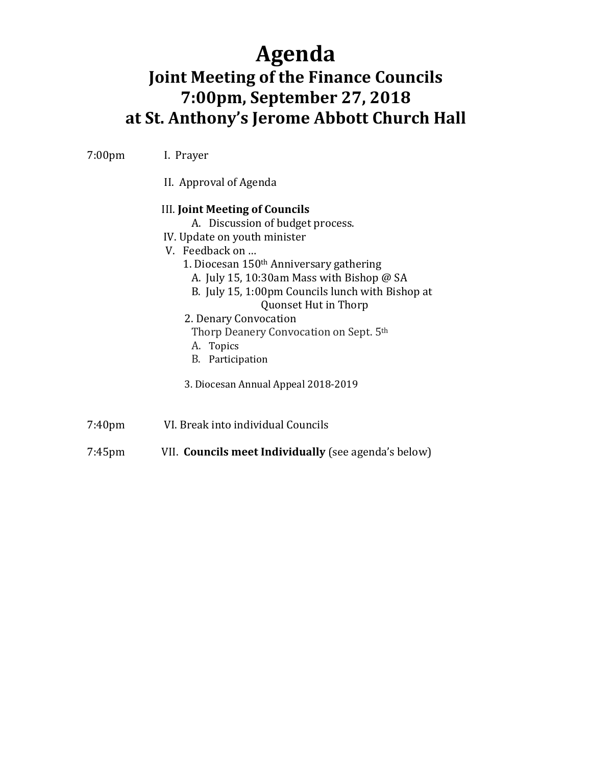# **Agenda**

## **Joint Meeting of the Finance Councils 7:00pm, September 27, 2018 at St. Anthony's Jerome Abbott Church Hall**

7:00pm I. Prayer

II. Approval of Agenda

#### III. **Joint Meeting of Councils**

- A. Discussion of budget process.
- IV. Update on youth minister
- V. Feedback on …
	- 1. Diocesan 150th Anniversary gathering
		- A. July 15, 10:30am Mass with Bishop @ SA
		- B. July 15, 1:00pm Councils lunch with Bishop at Quonset Hut in Thorp
	- 2. Denary Convocation
	- Thorp Deanery Convocation on Sept. 5th
	- A. Topics
	- B. Participation
	- 3. Diocesan Annual Appeal 2018-2019
- 7:40pm VI. Break into individual Councils
- 7:45pm VII. **Councils meet Individually** (see agenda's below)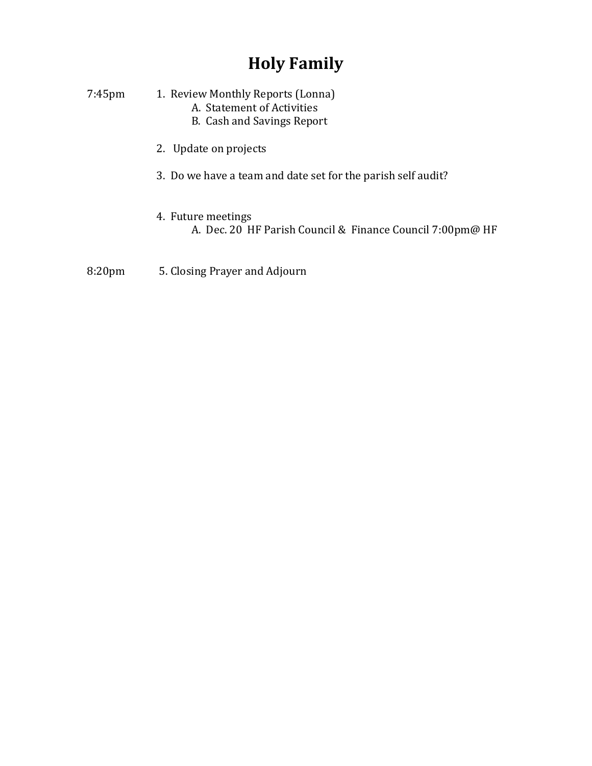## **Holy Family**

| $7:45$ pm | 1. Review Monthly Reports (Lonna)<br>A. Statement of Activities<br><b>B.</b> Cash and Savings Report |
|-----------|------------------------------------------------------------------------------------------------------|
|           | 2. Update on projects                                                                                |
|           | 3. Do we have a team and date set for the parish self audit?                                         |
|           |                                                                                                      |

4. Future meetings A. Dec. 20 HF Parish Council & Finance Council 7:00pm@ HF

8:20pm 5. Closing Prayer and Adjourn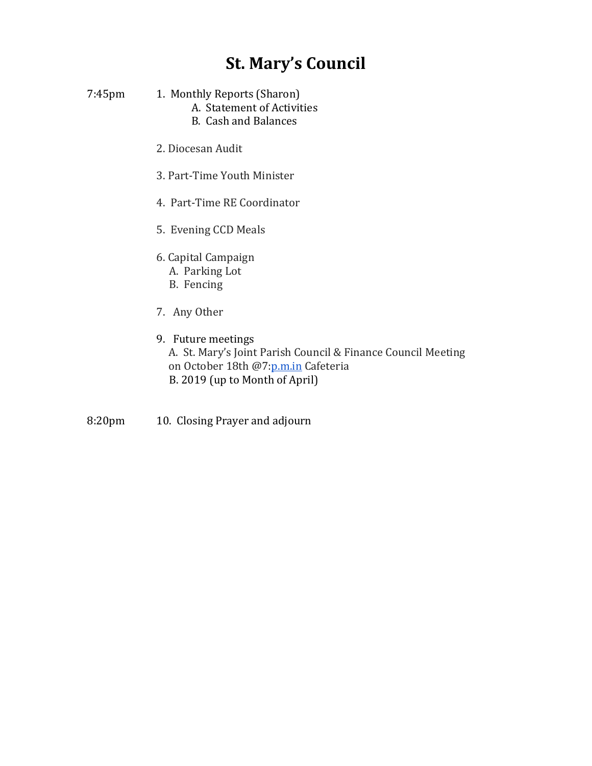#### **St. Mary's Council**

- 7:45pm 1. Monthly Reports (Sharon) A. Statement of Activities B. Cash and Balances
	- 2. Diocesan Audit
	- 3. Part-Time Youth Minister
	- 4. Part-Time RE Coordinator
	- 5. Evening CCD Meals
	- 6. Capital Campaign
		- A. Parking Lot
		- B. Fencing
	- 7. Any Other
	- 9. Future meetings

A. St. Mary's Joint Parish Council & Finance Council Meeting on October 18th @7[:p.m.in](http://p.m.in/) Cafeteria B. 2019 (up to Month of April)

8:20pm 10. Closing Prayer and adjourn